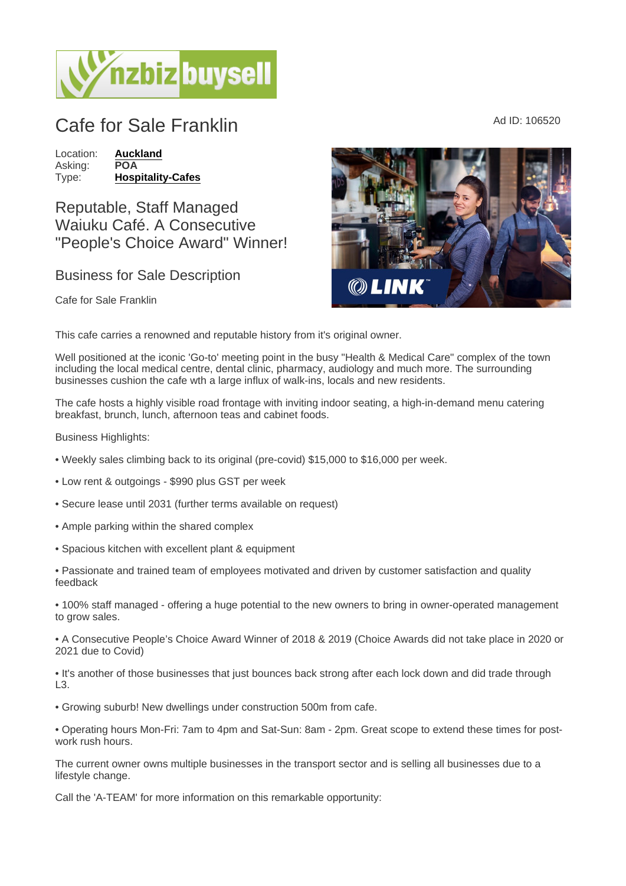## Cafe for Sale Franklin Ad ID: 106520

Location: [Auckland](https://www.nzbizbuysell.co.nz/businesses-for-sale/location/Auckland) Asking: POA<br>Type: Hosp [Hospitality-Cafes](https://www.nzbizbuysell.co.nz/businesses-for-sale/Cafes/New-Zealand)

Reputable, Staff Managed Waiuku Café. A Consecutive "People's Choice Award" Winner!

## Business for Sale Description

Cafe for Sale Franklin

This cafe carries a renowned and reputable history from it's original owner.

Well positioned at the iconic 'Go-to' meeting point in the busy "Health & Medical Care" complex of the town including the local medical centre, dental clinic, pharmacy, audiology and much more. The surrounding businesses cushion the cafe wth a large influx of walk-ins, locals and new residents.

The cafe hosts a highly visible road frontage with inviting indoor seating, a high-in-demand menu catering breakfast, brunch, lunch, afternoon teas and cabinet foods.

Business Highlights:

- Weekly sales climbing back to its original (pre-covid) \$15,000 to \$16,000 per week.
- Low rent & outgoings \$990 plus GST per week
- Secure lease until 2031 (further terms available on request)
- Ample parking within the shared complex
- Spacious kitchen with excellent plant & equipment

• Passionate and trained team of employees motivated and driven by customer satisfaction and quality feedback

• 100% staff managed - offering a huge potential to the new owners to bring in owner-operated management to grow sales.

• A Consecutive People's Choice Award Winner of 2018 & 2019 (Choice Awards did not take place in 2020 or 2021 due to Covid)

• It's another of those businesses that just bounces back strong after each lock down and did trade through L3.

• Growing suburb! New dwellings under construction 500m from cafe.

• Operating hours Mon-Fri: 7am to 4pm and Sat-Sun: 8am - 2pm. Great scope to extend these times for postwork rush hours.

The current owner owns multiple businesses in the transport sector and is selling all businesses due to a lifestyle change.

Call the 'A-TEAM' for more information on this remarkable opportunity: